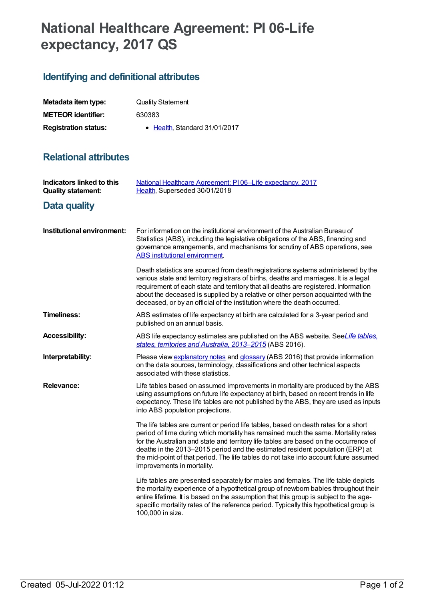## **National Healthcare Agreement: PI 06-Life expectancy, 2017 QS**

## **Identifying and definitional attributes**

| Metadata item type:         | <b>Quality Statement</b>     |
|-----------------------------|------------------------------|
| <b>METEOR identifier:</b>   | 630383                       |
| <b>Registration status:</b> | • Health Standard 31/01/2017 |

## **Relational attributes**

| Indicators linked to this<br><b>Quality statement:</b> | National Healthcare Agreement: PI06-Life expectancy, 2017<br>Health, Superseded 30/01/2018                                                                                                                                                                                                                                                                                                                                                                                |
|--------------------------------------------------------|---------------------------------------------------------------------------------------------------------------------------------------------------------------------------------------------------------------------------------------------------------------------------------------------------------------------------------------------------------------------------------------------------------------------------------------------------------------------------|
| Data quality                                           |                                                                                                                                                                                                                                                                                                                                                                                                                                                                           |
| Institutional environment:                             | For information on the institutional environment of the Australian Bureau of<br>Statistics (ABS), including the legislative obligations of the ABS, financing and<br>governance arrangements, and mechanisms for scrutiny of ABS operations, see<br><b>ABS</b> institutional environment.                                                                                                                                                                                 |
|                                                        | Death statistics are sourced from death registrations systems administered by the<br>various state and territory registrars of births, deaths and marriages. It is a legal<br>requirement of each state and territory that all deaths are registered. Information<br>about the deceased is supplied by a relative or other person acquainted with the<br>deceased, or by an official of the institution where the death occurred.                                         |
| <b>Timeliness:</b>                                     | ABS estimates of life expectancy at birth are calculated for a 3-year period and<br>published on an annual basis.                                                                                                                                                                                                                                                                                                                                                         |
| <b>Accessibility:</b>                                  | ABS life expectancy estimates are published on the ABS website. SeeLife tables,<br>states, territories and Australia, 2013-2015 (ABS 2016).                                                                                                                                                                                                                                                                                                                               |
| Interpretability:                                      | Please view explanatory notes and glossary (ABS 2016) that provide information<br>on the data sources, terminology, classifications and other technical aspects<br>associated with these statistics.                                                                                                                                                                                                                                                                      |
| <b>Relevance:</b>                                      | Life tables based on assumed improvements in mortality are produced by the ABS<br>using assumptions on future life expectancy at birth, based on recent trends in life<br>expectancy. These life tables are not published by the ABS, they are used as inputs<br>into ABS population projections.                                                                                                                                                                         |
|                                                        | The life tables are current or period life tables, based on death rates for a short<br>period of time during which mortality has remained much the same. Mortality rates<br>for the Australian and state and territory life tables are based on the occurrence of<br>deaths in the 2013-2015 period and the estimated resident population (ERP) at<br>the mid-point of that period. The life tables do not take into account future assumed<br>improvements in mortality. |
|                                                        | Life tables are presented separately for males and females. The life table depicts<br>the mortality experience of a hypothetical group of newborn babies throughout their<br>entire lifetime. It is based on the assumption that this group is subject to the age-<br>specific mortality rates of the reference period. Typically this hypothetical group is<br>100,000 in size.                                                                                          |